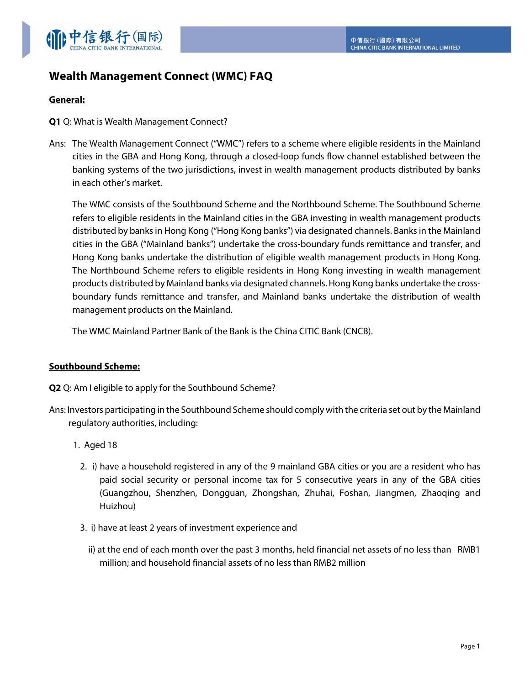

# **Wealth Management Connect (WMC) FAQ**

## **General:**

**Q1** Q: What is Wealth Management Connect?

Ans: The Wealth Management Connect ("WMC") refers to a scheme where eligible residents in the Mainland cities in the GBA and Hong Kong, through a closed-loop funds flow channel established between the banking systems of the two jurisdictions, invest in wealth management products distributed by banks in each other's market.

The WMC consists of the Southbound Scheme and the Northbound Scheme. The Southbound Scheme refers to eligible residents in the Mainland cities in the GBA investing in wealth management products distributed by banks in Hong Kong ("Hong Kong banks") via designated channels. Banks in the Mainland cities in the GBA ("Mainland banks") undertake the cross-boundary funds remittance and transfer, and Hong Kong banks undertake the distribution of eligible wealth management products in Hong Kong. The Northbound Scheme refers to eligible residents in Hong Kong investing in wealth management products distributed by Mainland banks via designated channels. Hong Kong banks undertake the crossboundary funds remittance and transfer, and Mainland banks undertake the distribution of wealth management products on the Mainland.

The WMC Mainland Partner Bank of the Bank is the China CITIC Bank (CNCB).

#### **Southbound Scheme:**

- **Q2** Q: Am I eligible to apply for the Southbound Scheme?
- Ans: Investors participating in the Southbound Scheme should comply with the criteria set out by the Mainland regulatory authorities, including:
	- 1. Aged 18
		- 2. i) have a household registered in any of the 9 mainland GBA cities or you are a resident who has paid social security or personal income tax for 5 consecutive years in any of the GBA cities (Guangzhou, Shenzhen, Dongguan, Zhongshan, Zhuhai, Foshan, Jiangmen, Zhaoqing and Huizhou)
		- 3. i) have at least 2 years of investment experience and
			- ii) at the end of each month over the past 3 months, held financial net assets of no less than RMB1 million; and household financial assets of no less than RMB2 million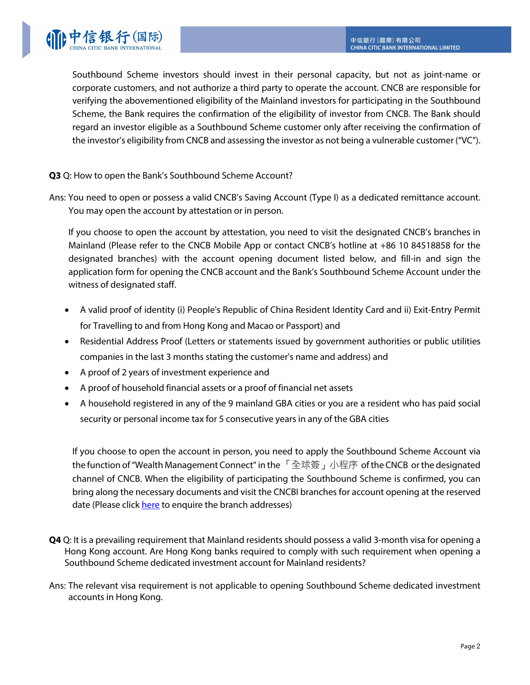Southbound Scheme investors should invest in their personal capacity, but not as joint-name or corporate customers, and not authorize a third party to operate the account. CNCB are responsible for verifying the abovementioned eligibility of the Mainland investors for participating in the Southbound Scheme, the Bank requires the confirmation of the eligibility of investor from CNCB. The Bank should regard an investor eligible as a Southbound Scheme customer only after receiving the confirmation of the investor's eligibility from CNCB and assessing the investor as not being a vulnerable customer ("VC").

## **Q3** Q: How to open the Bank's Southbound Scheme Account?

Ans: You need to open or possess a valid CNCB's Saving Account (Type I) as a dedicated remittance account. You may open the account by attestation or in person.

If you choose to open the account by attestation, you need to visit the designated CNCB's branches in Mainland (Please refer to the CNCB Mobile App or contact CNCB's hotline at +86 10 84518858 for the designated branches) with the account opening document listed below, and fill-in and sign the application form for opening the CNCB account and the Bank's Southbound Scheme Account under the witness of designated staff.

- A valid proof of identity (i) People's Republic of China Resident Identity Card and ii) Exit-Entry Permit for Travelling to and from Hong Kong and Macao or Passport) and
- Residential Address Proof (Letters or statements issued by government authorities or public utilities companies in the last 3 months stating the customer's name and address) and
- A proof of 2 years of investment experience and
- A proof of household financial assets or a proof of financial net assets
- A household registered in any of the 9 mainland GBA cities or you are a resident who has paid social security or personal income tax for 5 consecutive years in any of the GBA cities

If you choose to open the account in person, you need to apply the Southbound Scheme Account via the function of "Wealth Management Connect" in the 「全球簽」小程序 of the CNCB or the designated channel of CNCB. When the eligibility of participating the Southbound Scheme is confirmed, you can bring along the necessary documents and visit the CNCBI branches for account opening at the reserved date (Please click [here](https://www.cncbinternational.com/contact-us/branches/en/index.jsp) to enquire the branch addresses)

- **Q4** Q: It is a prevailing requirement that Mainland residents should possess a valid 3-month visa for opening a Hong Kong account. Are Hong Kong banks required to comply with such requirement when opening a Southbound Scheme dedicated investment account for Mainland residents?
- Ans: The relevant visa requirement is not applicable to opening Southbound Scheme dedicated investment accounts in Hong Kong.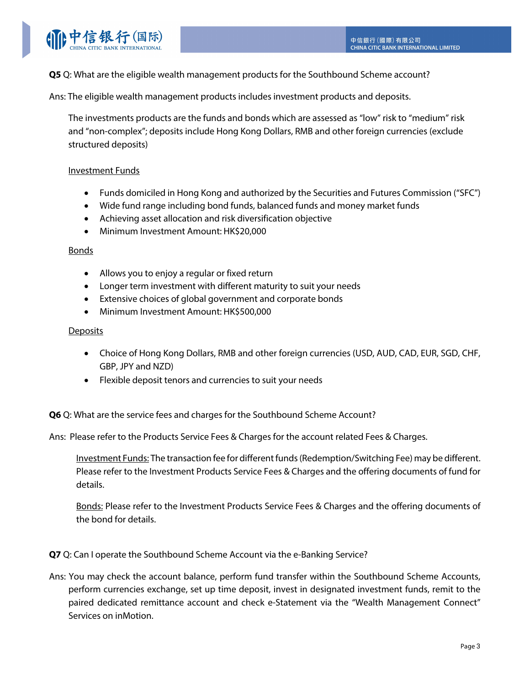

**Q5** Q: What are the eligible wealth management products for the Southbound Scheme account?

Ans: The eligible wealth management products includes investment products and deposits.

The investments products are the funds and bonds which are assessed as "low" risk to "medium" risk and "non-complex"; deposits include Hong Kong Dollars, RMB and other foreign currencies (exclude structured deposits)

## Investment Funds

- Funds domiciled in Hong Kong and authorized by the Securities and Futures Commission ("SFC")
- Wide fund range including bond funds, balanced funds and money market funds
- Achieving asset allocation and risk diversification objective
- Minimum Investment Amount: HK\$20,000

#### Bonds

- Allows you to enjoy a regular or fixed return
- Longer term investment with different maturity to suit your needs
- Extensive choices of global government and corporate bonds
- Minimum Investment Amount: HK\$500,000

#### **Deposits**

- Choice of Hong Kong Dollars, RMB and other foreign currencies (USD, AUD, CAD, EUR, SGD, CHF, GBP, JPY and NZD)
- Flexible deposit tenors and currencies to suit your needs

**Q6** Q: What are the service fees and charges for the Southbound Scheme Account?

Ans: Please refer to the Products Service Fees & Charges for the account related Fees & Charges.

Investment Funds: The transaction fee for different funds (Redemption/Switching Fee) may be different. Please refer to the Investment Products Service Fees & Charges and the offering documents of fund for details.

Bonds: Please refer to the Investment Products Service Fees & Charges and the offering documents of the bond for details.

**Q7** Q: Can I operate the Southbound Scheme Account via the e-Banking Service?

Ans: You may check the account balance, perform fund transfer within the Southbound Scheme Accounts, perform currencies exchange, set up time deposit, invest in designated investment funds, remit to the paired dedicated remittance account and check e-Statement via the "Wealth Management Connect" Services on inMotion.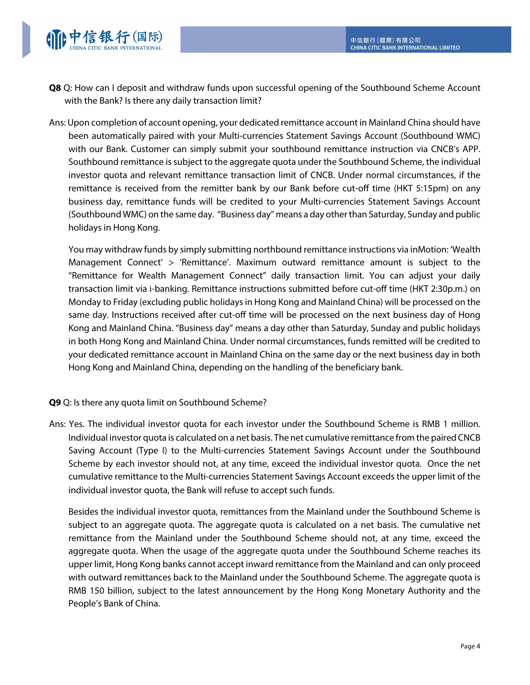

- **Q8** Q: How can I deposit and withdraw funds upon successful opening of the Southbound Scheme Account with the Bank? Is there any daily transaction limit?
- Ans: Upon completion of account opening, your dedicated remittance account in Mainland China should have been automatically paired with your Multi-currencies Statement Savings Account (Southbound WMC) with our Bank. Customer can simply submit your southbound remittance instruction via CNCB's APP. Southbound remittance is subject to the aggregate quota under the Southbound Scheme, the individual investor quota and relevant remittance transaction limit of CNCB. Under normal circumstances, if the remittance is received from the remitter bank by our Bank before cut-off time (HKT 5:15pm) on any business day, remittance funds will be credited to your Multi-currencies Statement Savings Account (Southbound WMC) on the same day. "Business day" means a day other than Saturday, Sunday and public holidays in Hong Kong.

You may withdraw funds by simply submitting northbound remittance instructions via inMotion: 'Wealth Management Connect' > 'Remittance'. Maximum outward remittance amount is subject to the "Remittance for Wealth Management Connect" daily transaction limit. You can adjust your daily transaction limit via i-banking. Remittance instructions submitted before cut-off time (HKT 2:30p.m.) on Monday to Friday (excluding public holidays in Hong Kong and Mainland China) will be processed on the same day. Instructions received after cut-off time will be processed on the next business day of Hong Kong and Mainland China. "Business day" means a day other than Saturday, Sunday and public holidays in both Hong Kong and Mainland China. Under normal circumstances, funds remitted will be credited to your dedicated remittance account in Mainland China on the same day or the next business day in both Hong Kong and Mainland China, depending on the handling of the beneficiary bank.

**Q9** Q: Is there any quota limit on Southbound Scheme?

Ans: Yes. The individual investor quota for each investor under the Southbound Scheme is RMB 1 million. Individual investor quota is calculated on a net basis. The net cumulative remittance from the paired CNCB Saving Account (Type I) to the Multi-currencies Statement Savings Account under the Southbound Scheme by each investor should not, at any time, exceed the individual investor quota. Once the net cumulative remittance to the Multi-currencies Statement Savings Account exceeds the upper limit of the individual investor quota, the Bank will refuse to accept such funds.

Besides the individual investor quota, remittances from the Mainland under the Southbound Scheme is subject to an aggregate quota. The aggregate quota is calculated on a net basis. The cumulative net remittance from the Mainland under the Southbound Scheme should not, at any time, exceed the aggregate quota. When the usage of the aggregate quota under the Southbound Scheme reaches its upper limit, Hong Kong banks cannot accept inward remittance from the Mainland and can only proceed with outward remittances back to the Mainland under the Southbound Scheme. The aggregate quota is RMB 150 billion, subject to the latest announcement by the Hong Kong Monetary Authority and the People's Bank of China.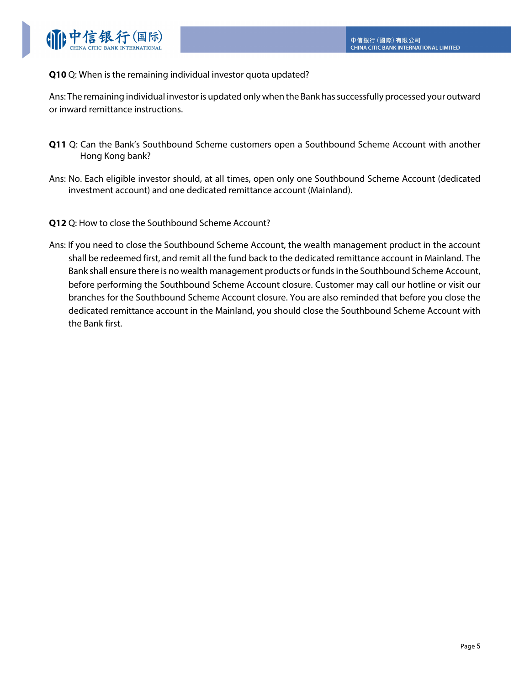

## **Q10** Q: When is the remaining individual investor quota updated?

Ans: The remaining individual investor is updated only when the Bank has successfully processed your outward or inward remittance instructions.

- **Q11** Q: Can the Bank's Southbound Scheme customers open a Southbound Scheme Account with another Hong Kong bank?
- Ans: No. Each eligible investor should, at all times, open only one Southbound Scheme Account (dedicated investment account) and one dedicated remittance account (Mainland).
- **Q12** Q: How to close the Southbound Scheme Account?
- Ans: If you need to close the Southbound Scheme Account, the wealth management product in the account shall be redeemed first, and remit all the fund back to the dedicated remittance account in Mainland. The Bank shall ensure there is no wealth management products or funds in the Southbound Scheme Account, before performing the Southbound Scheme Account closure. Customer may call our hotline or visit our branches for the Southbound Scheme Account closure. You are also reminded that before you close the dedicated remittance account in the Mainland, you should close the Southbound Scheme Account with the Bank first.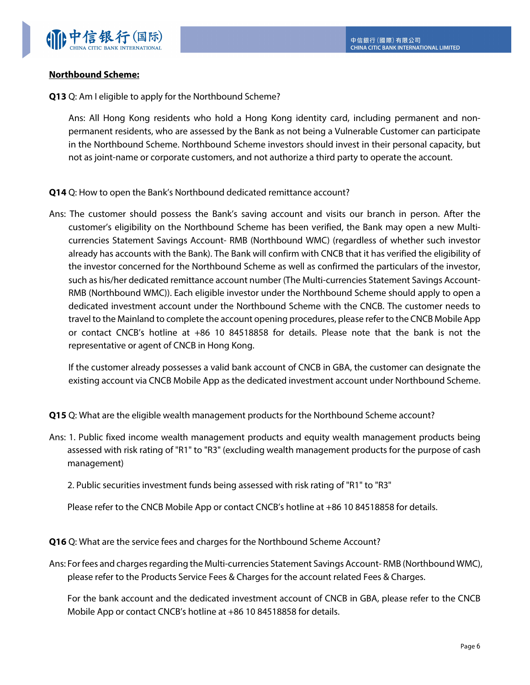

## **Northbound Scheme:**

**Q13** Q: Am I eligible to apply for the Northbound Scheme?

Ans: All Hong Kong residents who hold a Hong Kong identity card, including permanent and nonpermanent residents, who are assessed by the Bank as not being a Vulnerable Customer can participate in the Northbound Scheme. Northbound Scheme investors should invest in their personal capacity, but not as joint-name or corporate customers, and not authorize a third party to operate the account.

- **Q14** Q: How to open the Bank's Northbound dedicated remittance account?
- Ans: The customer should possess the Bank's saving account and visits our branch in person. After the customer's eligibility on the Northbound Scheme has been verified, the Bank may open a new Multicurrencies Statement Savings Account- RMB (Northbound WMC) (regardless of whether such investor already has accounts with the Bank). The Bank will confirm with CNCB that it has verified the eligibility of the investor concerned for the Northbound Scheme as well as confirmed the particulars of the investor, such as his/her dedicated remittance account number (The Multi-currencies Statement Savings Account-RMB (Northbound WMC)). Each eligible investor under the Northbound Scheme should apply to open a dedicated investment account under the Northbound Scheme with the CNCB. The customer needs to travel to the Mainland to complete the account opening procedures, please refer to the CNCB Mobile App or contact CNCB's hotline at +86 10 84518858 for details. Please note that the bank is not the representative or agent of CNCB in Hong Kong.

If the customer already possesses a valid bank account of CNCB in GBA, the customer can designate the existing account via CNCB Mobile App as the dedicated investment account under Northbound Scheme.

**Q15** Q: What are the eligible wealth management products for the Northbound Scheme account?

Ans: 1. Public fixed income wealth management products and equity wealth management products being assessed with risk rating of "R1" to "R3" (excluding wealth management products for the purpose of cash management)

2. Public securities investment funds being assessed with risk rating of "R1" to "R3"

Please refer to the CNCB Mobile App or contact CNCB's hotline at +86 10 84518858 for details.

**Q16** Q: What are the service fees and charges for the Northbound Scheme Account?

Ans: For fees and charges regarding the Multi-currencies Statement Savings Account- RMB (Northbound WMC), please refer to the Products Service Fees & Charges for the account related Fees & Charges.

For the bank account and the dedicated investment account of CNCB in GBA, please refer to the CNCB Mobile App or contact CNCB's hotline at +86 10 84518858 for details.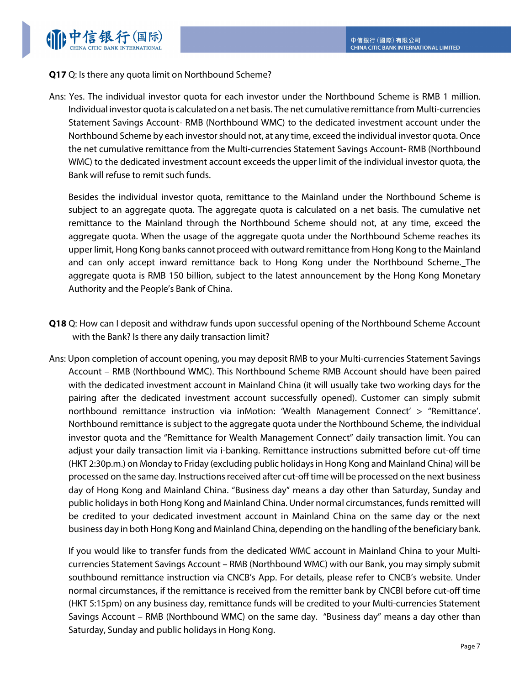## **Q17** Q: Is there any quota limit on Northbound Scheme?

Ans: Yes. The individual investor quota for each investor under the Northbound Scheme is RMB 1 million. Individual investor quota is calculated on a net basis. The net cumulative remittance from Multi-currencies Statement Savings Account- RMB (Northbound WMC) to the dedicated investment account under the Northbound Scheme by each investor should not, at any time, exceed the individual investor quota. Once the net cumulative remittance from the Multi-currencies Statement Savings Account- RMB (Northbound WMC) to the dedicated investment account exceeds the upper limit of the individual investor quota, the Bank will refuse to remit such funds.

Besides the individual investor quota, remittance to the Mainland under the Northbound Scheme is subject to an aggregate quota. The aggregate quota is calculated on a net basis. The cumulative net remittance to the Mainland through the Northbound Scheme should not, at any time, exceed the aggregate quota. When the usage of the aggregate quota under the Northbound Scheme reaches its upper limit, Hong Kong banks cannot proceed with outward remittance from Hong Kong to the Mainland and can only accept inward remittance back to Hong Kong under the Northbound Scheme. The aggregate quota is RMB 150 billion, subject to the latest announcement by the Hong Kong Monetary Authority and the People's Bank of China.

- **Q18** Q: How can I deposit and withdraw funds upon successful opening of the Northbound Scheme Account with the Bank? Is there any daily transaction limit?
- Ans: Upon completion of account opening, you may deposit RMB to your Multi-currencies Statement Savings Account – RMB (Northbound WMC). This Northbound Scheme RMB Account should have been paired with the dedicated investment account in Mainland China (it will usually take two working days for the pairing after the dedicated investment account successfully opened). Customer can simply submit northbound remittance instruction via inMotion: 'Wealth Management Connect' > "Remittance'. Northbound remittance is subject to the aggregate quota under the Northbound Scheme, the individual investor quota and the "Remittance for Wealth Management Connect" daily transaction limit. You can adjust your daily transaction limit via i-banking. Remittance instructions submitted before cut-off time (HKT 2:30p.m.) on Monday to Friday (excluding public holidays in Hong Kong and Mainland China) will be processed on the same day. Instructions received after cut-off time will be processed on the next business day of Hong Kong and Mainland China. "Business day" means a day other than Saturday, Sunday and public holidays in both Hong Kong and Mainland China. Under normal circumstances, funds remitted will be credited to your dedicated investment account in Mainland China on the same day or the next business day in both Hong Kong and Mainland China, depending on the handling of the beneficiary bank.

If you would like to transfer funds from the dedicated WMC account in Mainland China to your Multicurrencies Statement Savings Account – RMB (Northbound WMC) with our Bank, you may simply submit southbound remittance instruction via CNCB's App. For details, please refer to CNCB's website. Under normal circumstances, if the remittance is received from the remitter bank by CNCBI before cut-off time (HKT 5:15pm) on any business day, remittance funds will be credited to your Multi-currencies Statement Savings Account – RMB (Northbound WMC) on the same day. "Business day" means a day other than Saturday, Sunday and public holidays in Hong Kong.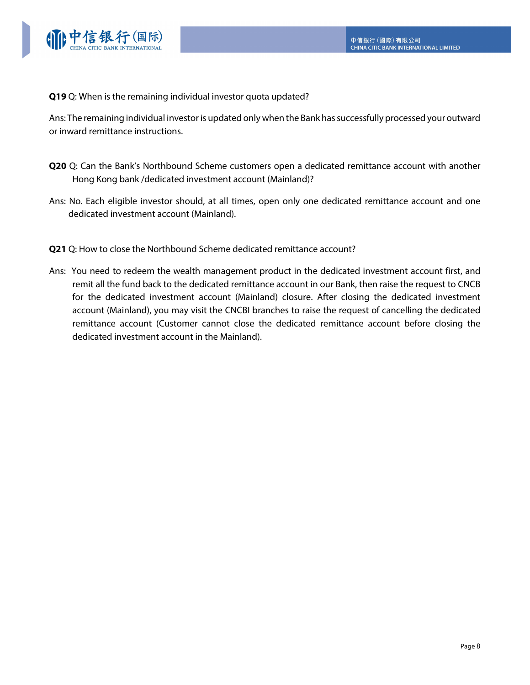

**Q19** Q: When is the remaining individual investor quota updated?

Ans: The remaining individual investor is updated only when the Bank has successfully processed your outward or inward remittance instructions.

- **Q20** Q: Can the Bank's Northbound Scheme customers open a dedicated remittance account with another Hong Kong bank /dedicated investment account (Mainland)?
- Ans: No. Each eligible investor should, at all times, open only one dedicated remittance account and one dedicated investment account (Mainland).
- **Q21** Q: How to close the Northbound Scheme dedicated remittance account?
- Ans: You need to redeem the wealth management product in the dedicated investment account first, and remit all the fund back to the dedicated remittance account in our Bank, then raise the request to CNCB for the dedicated investment account (Mainland) closure. After closing the dedicated investment account (Mainland), you may visit the CNCBI branches to raise the request of cancelling the dedicated remittance account (Customer cannot close the dedicated remittance account before closing the dedicated investment account in the Mainland).